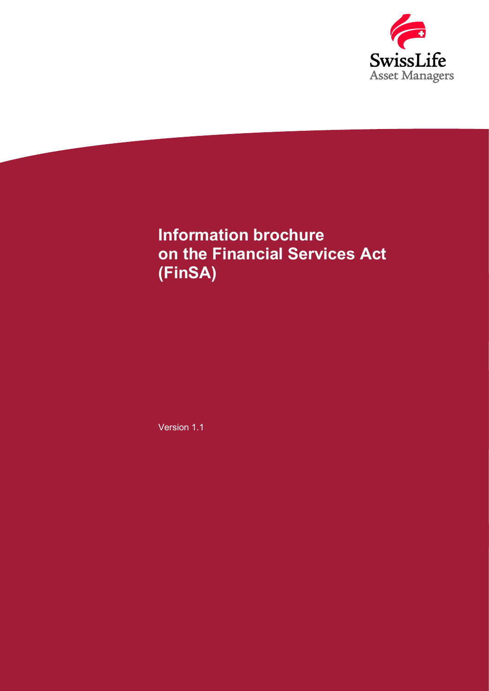

# Information brochure on the Financial Services Act (FinSA)

Version 1.1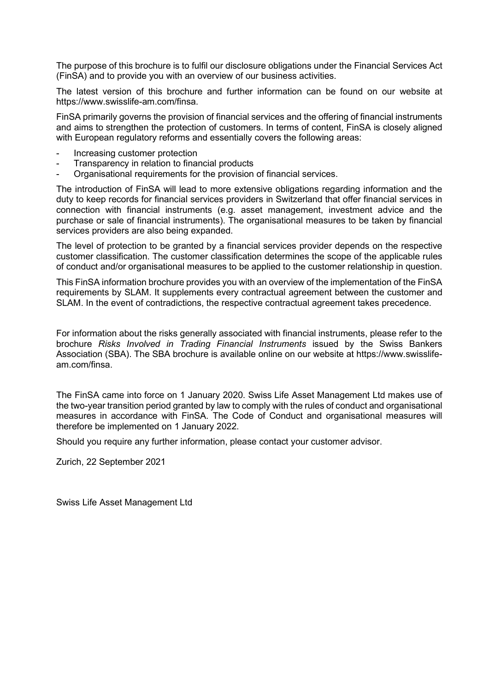The purpose of this brochure is to fulfil our disclosure obligations under the Financial Services Act (FinSA) and to provide you with an overview of our business activities.

The latest version of this brochure and further information can be found on our website at https://www.swisslife-am.com/finsa.

FinSA primarily governs the provision of financial services and the offering of financial instruments and aims to strengthen the protection of customers. In terms of content, FinSA is closely aligned with European regulatory reforms and essentially covers the following areas:

- Increasing customer protection
- Transparency in relation to financial products
- Organisational requirements for the provision of financial services.

The introduction of FinSA will lead to more extensive obligations regarding information and the duty to keep records for financial services providers in Switzerland that offer financial services in connection with financial instruments (e.g. asset management, investment advice and the purchase or sale of financial instruments). The organisational measures to be taken by financial services providers are also being expanded.

The level of protection to be granted by a financial services provider depends on the respective customer classification. The customer classification determines the scope of the applicable rules of conduct and/or organisational measures to be applied to the customer relationship in question.

This FinSA information brochure provides you with an overview of the implementation of the FinSA requirements by SLAM. It supplements every contractual agreement between the customer and SLAM. In the event of contradictions, the respective contractual agreement takes precedence.

For information about the risks generally associated with financial instruments, please refer to the brochure Risks Involved in Trading Financial Instruments issued by the Swiss Bankers Association (SBA). The SBA brochure is available online on our website at https://www.swisslifeam.com/finsa.

The FinSA came into force on 1 January 2020. Swiss Life Asset Management Ltd makes use of the two-year transition period granted by law to comply with the rules of conduct and organisational measures in accordance with FinSA. The Code of Conduct and organisational measures will therefore be implemented on 1 January 2022.

Should you require any further information, please contact your customer advisor.

Zurich, 22 September 2021

Swiss Life Asset Management Ltd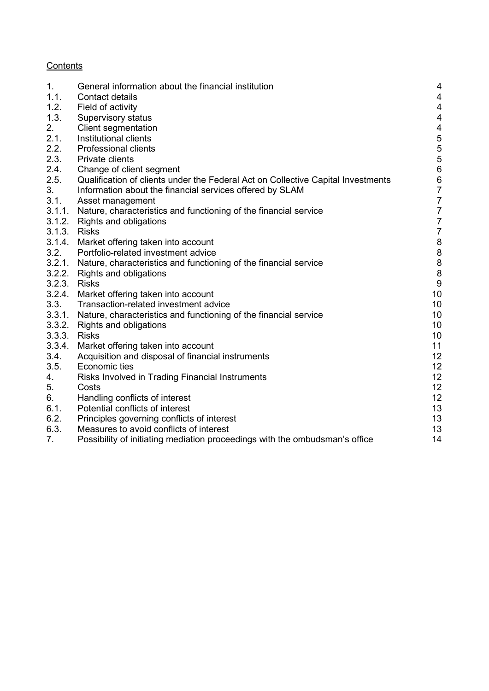# **Contents**

| 1.           | General information about the financial institution                              | 4                                          |
|--------------|----------------------------------------------------------------------------------|--------------------------------------------|
| 1.1.         | <b>Contact details</b>                                                           | 4                                          |
| 1.2.         | Field of activity                                                                | $\overline{4}$                             |
| 1.3.         | Supervisory status                                                               | 4                                          |
| 2.           | <b>Client segmentation</b>                                                       | $\overline{4}$                             |
| 2.1.         | Institutional clients                                                            |                                            |
| 2.2.         | <b>Professional clients</b>                                                      |                                            |
| 2.3.         | Private clients                                                                  |                                            |
| 2.4.         | Change of client segment                                                         | 5<br>5<br>5<br>6<br>6                      |
| 2.5.         | Qualification of clients under the Federal Act on Collective Capital Investments | $\boldsymbol{6}$                           |
| 3.           | Information about the financial services offered by SLAM                         | $\overline{7}$                             |
| 3.1.         | Asset management                                                                 | $\overline{7}$                             |
| 3.1.1.       | Nature, characteristics and functioning of the financial service                 | $\overline{7}$                             |
| 3.1.2.       | Rights and obligations                                                           | $\overline{7}$                             |
| 3.1.3.       | <b>Risks</b>                                                                     | $\overline{7}$                             |
| 3.1.4.       | Market offering taken into account                                               |                                            |
| 3.2.         | Portfolio-related investment advice                                              | $\begin{array}{c} 8 \\ 8 \\ 8 \end{array}$ |
| 3.2.1.       | Nature, characteristics and functioning of the financial service                 |                                            |
| 3.2.2.       | Rights and obligations                                                           | 8                                          |
| 3.2.3. Risks |                                                                                  | $\boldsymbol{9}$                           |
| 3.2.4.       | Market offering taken into account                                               | 10                                         |
| 3.3.         | Transaction-related investment advice                                            | 10 <sup>°</sup>                            |
| 3.3.1.       | Nature, characteristics and functioning of the financial service                 | 10 <sup>°</sup>                            |
| 3.3.2.       | Rights and obligations                                                           | 10                                         |
| 3.3.3.       | <b>Risks</b>                                                                     | 10                                         |
| 3.3.4.       | Market offering taken into account                                               | 11                                         |
| 3.4.         | Acquisition and disposal of financial instruments                                | 12                                         |
| 3.5.         | Economic ties                                                                    | 12                                         |
| 4.           | Risks Involved in Trading Financial Instruments                                  | 12                                         |
| 5.           | Costs                                                                            | 12                                         |
| 6.           | Handling conflicts of interest                                                   | 12                                         |
| 6.1.         | Potential conflicts of interest                                                  | 13                                         |
| 6.2.         | Principles governing conflicts of interest                                       | 13                                         |
| 6.3.         | Measures to avoid conflicts of interest                                          | 13                                         |
| 7.           | Possibility of initiating mediation proceedings with the ombudsman's office      | 14                                         |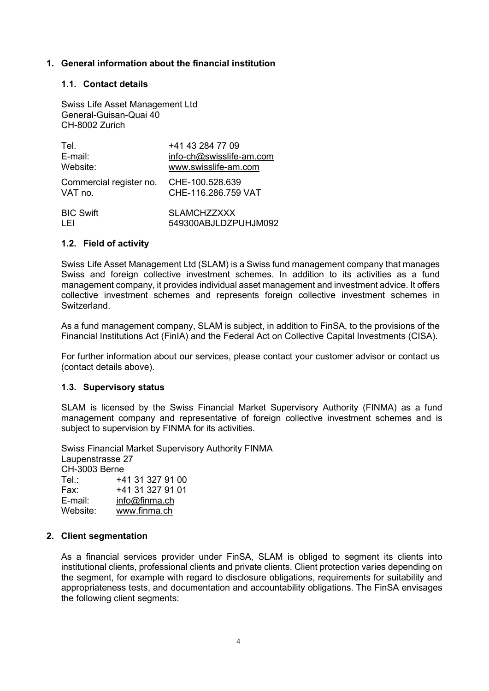# 1. General information about the financial institution

#### 1.1. Contact details

Swiss Life Asset Management Ltd General-Guisan-Quai 40 CH-8002 Zurich

| Tel.                    | +41 43 284 77 09                           |
|-------------------------|--------------------------------------------|
| E-mail:                 | info-ch@swisslife-am.com                   |
| Website:                | www.swisslife-am.com                       |
| Commercial register no. | CHE-100.528.639                            |
| VAT no.                 | CHE-116.286.759 VAT                        |
| <b>BIC Swift</b>        | <b>SLAMCHZZXXX</b><br>549300ABJLDZPUHJM092 |

#### 1.2. Field of activity

Swiss Life Asset Management Ltd (SLAM) is a Swiss fund management company that manages Swiss and foreign collective investment schemes. In addition to its activities as a fund management company, it provides individual asset management and investment advice. It offers collective investment schemes and represents foreign collective investment schemes in **Switzerland** 

As a fund management company, SLAM is subject, in addition to FinSA, to the provisions of the Financial Institutions Act (FinIA) and the Federal Act on Collective Capital Investments (CISA).

For further information about our services, please contact your customer advisor or contact us (contact details above).

#### 1.3. Supervisory status

SLAM is licensed by the Swiss Financial Market Supervisory Authority (FINMA) as a fund management company and representative of foreign collective investment schemes and is subject to supervision by FINMA for its activities.

Swiss Financial Market Supervisory Authority FINMA Laupenstrasse 27 CH-3003 Berne Tel.: +41 31 327 91 00 Fax: +41 31 327 91 01 E-mail: info@finma.ch<br>Website: www.finma.ch www.finma.ch

#### 2. Client segmentation

As a financial services provider under FinSA, SLAM is obliged to segment its clients into institutional clients, professional clients and private clients. Client protection varies depending on the segment, for example with regard to disclosure obligations, requirements for suitability and appropriateness tests, and documentation and accountability obligations. The FinSA envisages the following client segments: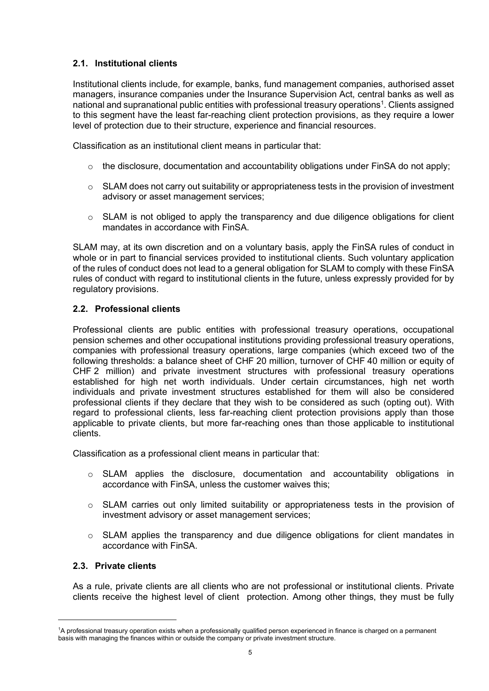# 2.1. Institutional clients

Institutional clients include, for example, banks, fund management companies, authorised asset managers, insurance companies under the Insurance Supervision Act, central banks as well as national and supranational public entities with professional treasury operations<sup>1</sup>. Clients assigned to this segment have the least far-reaching client protection provisions, as they require a lower level of protection due to their structure, experience and financial resources.

Classification as an institutional client means in particular that:

- $\circ$  the disclosure, documentation and accountability obligations under FinSA do not apply;
- o SLAM does not carry out suitability or appropriateness tests in the provision of investment advisory or asset management services;
- $\circ$  SLAM is not obliged to apply the transparency and due diligence obligations for client mandates in accordance with FinSA.

SLAM may, at its own discretion and on a voluntary basis, apply the FinSA rules of conduct in whole or in part to financial services provided to institutional clients. Such voluntary application of the rules of conduct does not lead to a general obligation for SLAM to comply with these FinSA rules of conduct with regard to institutional clients in the future, unless expressly provided for by regulatory provisions.

# 2.2. Professional clients

Professional clients are public entities with professional treasury operations, occupational pension schemes and other occupational institutions providing professional treasury operations, companies with professional treasury operations, large companies (which exceed two of the following thresholds: a balance sheet of CHF 20 million, turnover of CHF 40 million or equity of CHF 2 million) and private investment structures with professional treasury operations established for high net worth individuals. Under certain circumstances, high net worth individuals and private investment structures established for them will also be considered professional clients if they declare that they wish to be considered as such (opting out). With regard to professional clients, less far-reaching client protection provisions apply than those applicable to private clients, but more far-reaching ones than those applicable to institutional clients.

Classification as a professional client means in particular that:

- o SLAM applies the disclosure, documentation and accountability obligations in accordance with FinSA, unless the customer waives this;
- $\circ$  SLAM carries out only limited suitability or appropriateness tests in the provision of investment advisory or asset management services;
- o SLAM applies the transparency and due diligence obligations for client mandates in accordance with FinSA.

# 2.3. Private clients

As a rule, private clients are all clients who are not professional or institutional clients. Private clients receive the highest level of client protection. Among other things, they must be fully

<sup>1</sup>A professional treasury operation exists when a professionally qualified person experienced in finance is charged on a permanent basis with managing the finances within or outside the company or private investment structure.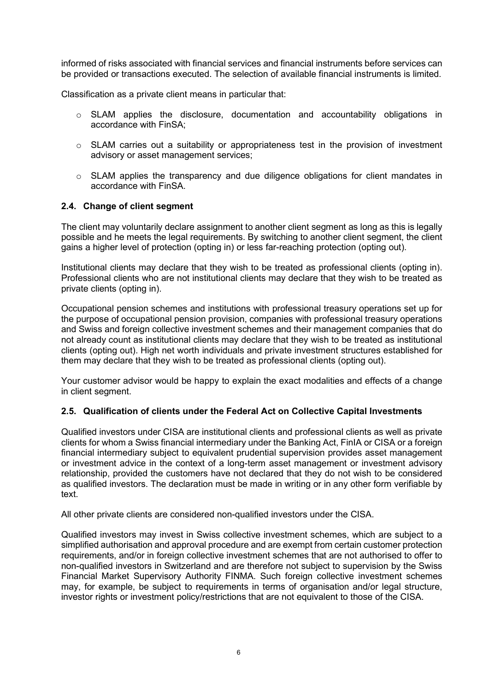informed of risks associated with financial services and financial instruments before services can be provided or transactions executed. The selection of available financial instruments is limited.

Classification as a private client means in particular that:

- o SLAM applies the disclosure, documentation and accountability obligations in accordance with FinSA;
- $\circ$  SLAM carries out a suitability or appropriateness test in the provision of investment advisory or asset management services;
- o SLAM applies the transparency and due diligence obligations for client mandates in accordance with FinSA.

#### 2.4. Change of client segment

The client may voluntarily declare assignment to another client segment as long as this is legally possible and he meets the legal requirements. By switching to another client segment, the client gains a higher level of protection (opting in) or less far-reaching protection (opting out).

Institutional clients may declare that they wish to be treated as professional clients (opting in). Professional clients who are not institutional clients may declare that they wish to be treated as private clients (opting in).

Occupational pension schemes and institutions with professional treasury operations set up for the purpose of occupational pension provision, companies with professional treasury operations and Swiss and foreign collective investment schemes and their management companies that do not already count as institutional clients may declare that they wish to be treated as institutional clients (opting out). High net worth individuals and private investment structures established for them may declare that they wish to be treated as professional clients (opting out).

Your customer advisor would be happy to explain the exact modalities and effects of a change in client segment.

#### 2.5. Qualification of clients under the Federal Act on Collective Capital Investments

Qualified investors under CISA are institutional clients and professional clients as well as private clients for whom a Swiss financial intermediary under the Banking Act, FinIA or CISA or a foreign financial intermediary subject to equivalent prudential supervision provides asset management or investment advice in the context of a long-term asset management or investment advisory relationship, provided the customers have not declared that they do not wish to be considered as qualified investors. The declaration must be made in writing or in any other form verifiable by text.

All other private clients are considered non-qualified investors under the CISA.

Qualified investors may invest in Swiss collective investment schemes, which are subject to a simplified authorisation and approval procedure and are exempt from certain customer protection requirements, and/or in foreign collective investment schemes that are not authorised to offer to non-qualified investors in Switzerland and are therefore not subject to supervision by the Swiss Financial Market Supervisory Authority FINMA. Such foreign collective investment schemes may, for example, be subject to requirements in terms of organisation and/or legal structure, investor rights or investment policy/restrictions that are not equivalent to those of the CISA.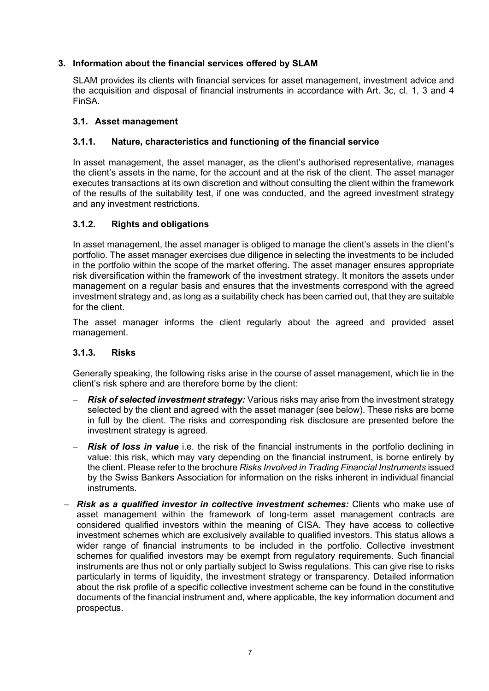# 3. Information about the financial services offered by SLAM

SLAM provides its clients with financial services for asset management, investment advice and the acquisition and disposal of financial instruments in accordance with Art. 3c, cl. 1, 3 and 4 FinSA.

# 3.1. Asset management

# 3.1.1. Nature, characteristics and functioning of the financial service

In asset management, the asset manager, as the client's authorised representative, manages the client's assets in the name, for the account and at the risk of the client. The asset manager executes transactions at its own discretion and without consulting the client within the framework of the results of the suitability test, if one was conducted, and the agreed investment strategy and any investment restrictions.

# 3.1.2. Rights and obligations

In asset management, the asset manager is obliged to manage the client's assets in the client's portfolio. The asset manager exercises due diligence in selecting the investments to be included in the portfolio within the scope of the market offering. The asset manager ensures appropriate risk diversification within the framework of the investment strategy. It monitors the assets under management on a regular basis and ensures that the investments correspond with the agreed investment strategy and, as long as a suitability check has been carried out, that they are suitable for the client.

The asset manager informs the client regularly about the agreed and provided asset management.

#### 3.1.3. Risks

Generally speaking, the following risks arise in the course of asset management, which lie in the client's risk sphere and are therefore borne by the client:

- Risk of selected investment strategy: Various risks may arise from the investment strategy selected by the client and agreed with the asset manager (see below). These risks are borne in full by the client. The risks and corresponding risk disclosure are presented before the investment strategy is agreed.
- Risk of loss in value i.e. the risk of the financial instruments in the portfolio declining in value: this risk, which may vary depending on the financial instrument, is borne entirely by the client. Please refer to the brochure Risks Involved in Trading Financial Instruments issued by the Swiss Bankers Association for information on the risks inherent in individual financial instruments.
- Risk as a qualified investor in collective investment schemes: Clients who make use of asset management within the framework of long-term asset management contracts are considered qualified investors within the meaning of CISA. They have access to collective investment schemes which are exclusively available to qualified investors. This status allows a wider range of financial instruments to be included in the portfolio. Collective investment schemes for qualified investors may be exempt from regulatory requirements. Such financial instruments are thus not or only partially subject to Swiss regulations. This can give rise to risks particularly in terms of liquidity, the investment strategy or transparency. Detailed information about the risk profile of a specific collective investment scheme can be found in the constitutive documents of the financial instrument and, where applicable, the key information document and prospectus.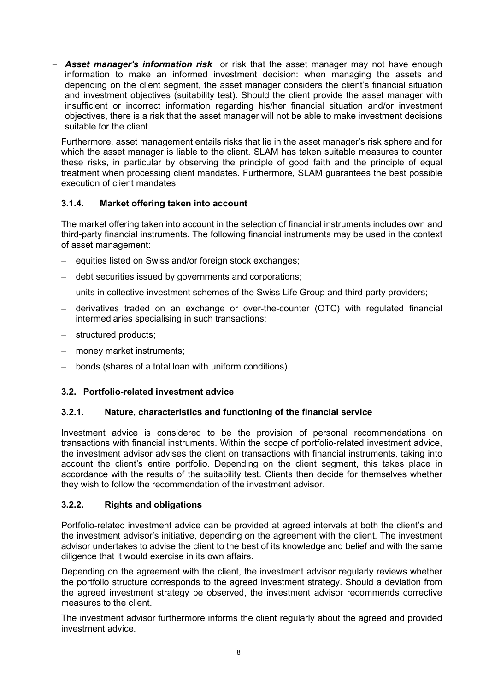- **Asset manager's information risk** or risk that the asset manager may not have enough information to make an informed investment decision: when managing the assets and depending on the client segment, the asset manager considers the client's financial situation and investment objectives (suitability test). Should the client provide the asset manager with insufficient or incorrect information regarding his/her financial situation and/or investment objectives, there is a risk that the asset manager will not be able to make investment decisions suitable for the client.

Furthermore, asset management entails risks that lie in the asset manager's risk sphere and for which the asset manager is liable to the client. SLAM has taken suitable measures to counter these risks, in particular by observing the principle of good faith and the principle of equal treatment when processing client mandates. Furthermore, SLAM guarantees the best possible execution of client mandates.

# 3.1.4. Market offering taken into account

The market offering taken into account in the selection of financial instruments includes own and third-party financial instruments. The following financial instruments may be used in the context of asset management:

- equities listed on Swiss and/or foreign stock exchanges;
- debt securities issued by governments and corporations;
- units in collective investment schemes of the Swiss Life Group and third-party providers;
- derivatives traded on an exchange or over-the-counter (OTC) with regulated financial intermediaries specialising in such transactions;
- structured products;
- money market instruments;
- bonds (shares of a total loan with uniform conditions).

#### 3.2. Portfolio-related investment advice

#### 3.2.1. Nature, characteristics and functioning of the financial service

Investment advice is considered to be the provision of personal recommendations on transactions with financial instruments. Within the scope of portfolio-related investment advice, the investment advisor advises the client on transactions with financial instruments, taking into account the client's entire portfolio. Depending on the client segment, this takes place in accordance with the results of the suitability test. Clients then decide for themselves whether they wish to follow the recommendation of the investment advisor.

#### 3.2.2. Rights and obligations

Portfolio-related investment advice can be provided at agreed intervals at both the client's and the investment advisor's initiative, depending on the agreement with the client. The investment advisor undertakes to advise the client to the best of its knowledge and belief and with the same diligence that it would exercise in its own affairs.

Depending on the agreement with the client, the investment advisor regularly reviews whether the portfolio structure corresponds to the agreed investment strategy. Should a deviation from the agreed investment strategy be observed, the investment advisor recommends corrective measures to the client.

The investment advisor furthermore informs the client regularly about the agreed and provided investment advice.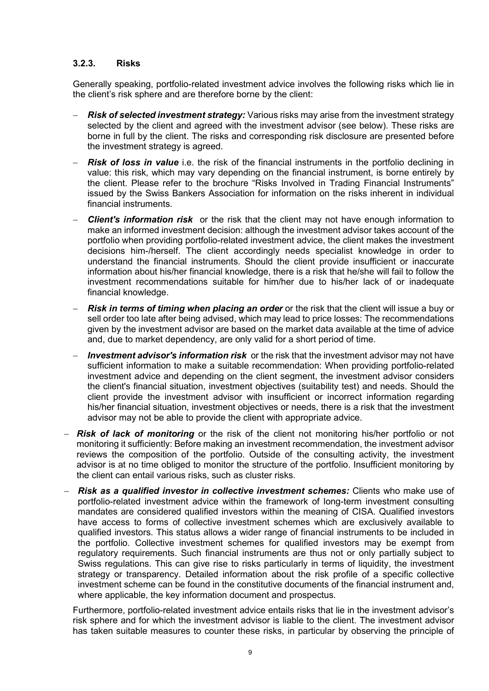# 3.2.3. Risks

Generally speaking, portfolio-related investment advice involves the following risks which lie in the client's risk sphere and are therefore borne by the client:

- Risk of selected investment strategy: Various risks may arise from the investment strategy selected by the client and agreed with the investment advisor (see below). These risks are borne in full by the client. The risks and corresponding risk disclosure are presented before the investment strategy is agreed.
- **Risk of loss in value** i.e. the risk of the financial instruments in the portfolio declining in value: this risk, which may vary depending on the financial instrument, is borne entirely by the client. Please refer to the brochure "Risks Involved in Trading Financial Instruments" issued by the Swiss Bankers Association for information on the risks inherent in individual financial instruments.
- **Client's information risk** or the risk that the client may not have enough information to make an informed investment decision: although the investment advisor takes account of the portfolio when providing portfolio-related investment advice, the client makes the investment decisions him-/herself. The client accordingly needs specialist knowledge in order to understand the financial instruments. Should the client provide insufficient or inaccurate information about his/her financial knowledge, there is a risk that he/she will fail to follow the investment recommendations suitable for him/her due to his/her lack of or inadequate financial knowledge.
- **Risk in terms of timing when placing an order** or the risk that the client will issue a buy or sell order too late after being advised, which may lead to price losses: The recommendations given by the investment advisor are based on the market data available at the time of advice and, due to market dependency, are only valid for a short period of time.
- **Investment advisor's information risk** or the risk that the investment advisor may not have sufficient information to make a suitable recommendation: When providing portfolio-related investment advice and depending on the client segment, the investment advisor considers the client's financial situation, investment objectives (suitability test) and needs. Should the client provide the investment advisor with insufficient or incorrect information regarding his/her financial situation, investment objectives or needs, there is a risk that the investment advisor may not be able to provide the client with appropriate advice.
- Risk of lack of monitoring or the risk of the client not monitoring his/her portfolio or not monitoring it sufficiently: Before making an investment recommendation, the investment advisor reviews the composition of the portfolio. Outside of the consulting activity, the investment advisor is at no time obliged to monitor the structure of the portfolio. Insufficient monitoring by the client can entail various risks, such as cluster risks.
- Risk as a qualified investor in collective investment schemes: Clients who make use of portfolio-related investment advice within the framework of long-term investment consulting mandates are considered qualified investors within the meaning of CISA. Qualified investors have access to forms of collective investment schemes which are exclusively available to qualified investors. This status allows a wider range of financial instruments to be included in the portfolio. Collective investment schemes for qualified investors may be exempt from regulatory requirements. Such financial instruments are thus not or only partially subject to Swiss regulations. This can give rise to risks particularly in terms of liquidity, the investment strategy or transparency. Detailed information about the risk profile of a specific collective investment scheme can be found in the constitutive documents of the financial instrument and, where applicable, the key information document and prospectus.

Furthermore, portfolio-related investment advice entails risks that lie in the investment advisor's risk sphere and for which the investment advisor is liable to the client. The investment advisor has taken suitable measures to counter these risks, in particular by observing the principle of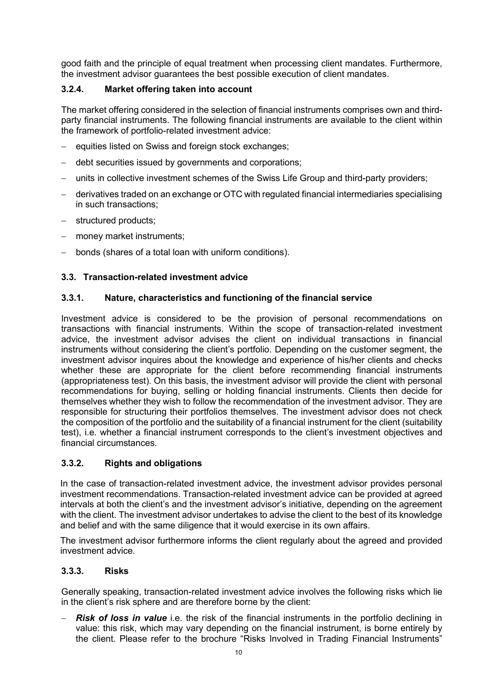good faith and the principle of equal treatment when processing client mandates. Furthermore, the investment advisor guarantees the best possible execution of client mandates.

# 3.2.4. Market offering taken into account

The market offering considered in the selection of financial instruments comprises own and thirdparty financial instruments. The following financial instruments are available to the client within the framework of portfolio-related investment advice:

- equities listed on Swiss and foreign stock exchanges;
- debt securities issued by governments and corporations;
- units in collective investment schemes of the Swiss Life Group and third-party providers;
- derivatives traded on an exchange or OTC with regulated financial intermediaries specialising in such transactions;
- structured products;
- money market instruments;
- bonds (shares of a total loan with uniform conditions).

# 3.3. Transaction-related investment advice

#### 3.3.1. Nature, characteristics and functioning of the financial service

Investment advice is considered to be the provision of personal recommendations on transactions with financial instruments. Within the scope of transaction-related investment advice, the investment advisor advises the client on individual transactions in financial instruments without considering the client's portfolio. Depending on the customer segment, the investment advisor inquires about the knowledge and experience of his/her clients and checks whether these are appropriate for the client before recommending financial instruments (appropriateness test). On this basis, the investment advisor will provide the client with personal recommendations for buying, selling or holding financial instruments. Clients then decide for themselves whether they wish to follow the recommendation of the investment advisor. They are responsible for structuring their portfolios themselves. The investment advisor does not check the composition of the portfolio and the suitability of a financial instrument for the client (suitability test), i.e. whether a financial instrument corresponds to the client's investment objectives and financial circumstances.

#### 3.3.2. Rights and obligations

In the case of transaction-related investment advice, the investment advisor provides personal investment recommendations. Transaction-related investment advice can be provided at agreed intervals at both the client's and the investment advisor's initiative, depending on the agreement with the client. The investment advisor undertakes to advise the client to the best of its knowledge and belief and with the same diligence that it would exercise in its own affairs.

The investment advisor furthermore informs the client regularly about the agreed and provided investment advice.

#### 3.3.3. Risks

Generally speaking, transaction-related investment advice involves the following risks which lie in the client's risk sphere and are therefore borne by the client:

**Risk of loss in value** i.e. the risk of the financial instruments in the portfolio declining in value: this risk, which may vary depending on the financial instrument, is borne entirely by the client. Please refer to the brochure "Risks Involved in Trading Financial Instruments"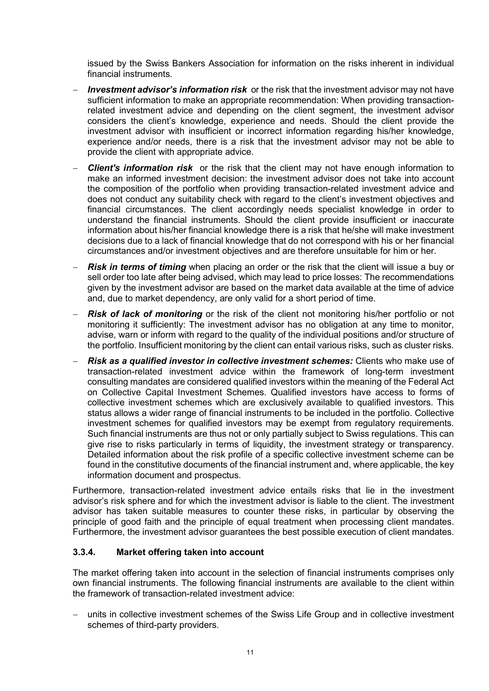issued by the Swiss Bankers Association for information on the risks inherent in individual financial instruments.

- **Investment advisor's information risk** or the risk that the investment advisor may not have sufficient information to make an appropriate recommendation: When providing transactionrelated investment advice and depending on the client segment, the investment advisor considers the client's knowledge, experience and needs. Should the client provide the investment advisor with insufficient or incorrect information regarding his/her knowledge, experience and/or needs, there is a risk that the investment advisor may not be able to provide the client with appropriate advice.
- Client's information risk or the risk that the client may not have enough information to make an informed investment decision: the investment advisor does not take into account the composition of the portfolio when providing transaction-related investment advice and does not conduct any suitability check with regard to the client's investment objectives and financial circumstances. The client accordingly needs specialist knowledge in order to understand the financial instruments. Should the client provide insufficient or inaccurate information about his/her financial knowledge there is a risk that he/she will make investment decisions due to a lack of financial knowledge that do not correspond with his or her financial circumstances and/or investment objectives and are therefore unsuitable for him or her.
- Risk in terms of timing when placing an order or the risk that the client will issue a buy or sell order too late after being advised, which may lead to price losses: The recommendations given by the investment advisor are based on the market data available at the time of advice and, due to market dependency, are only valid for a short period of time.
- **Risk of lack of monitoring** or the risk of the client not monitoring his/her portfolio or not monitoring it sufficiently: The investment advisor has no obligation at any time to monitor, advise, warn or inform with regard to the quality of the individual positions and/or structure of the portfolio. Insufficient monitoring by the client can entail various risks, such as cluster risks.
- Risk as a qualified investor in collective investment schemes: Clients who make use of transaction-related investment advice within the framework of long-term investment consulting mandates are considered qualified investors within the meaning of the Federal Act on Collective Capital Investment Schemes. Qualified investors have access to forms of collective investment schemes which are exclusively available to qualified investors. This status allows a wider range of financial instruments to be included in the portfolio. Collective investment schemes for qualified investors may be exempt from regulatory requirements. Such financial instruments are thus not or only partially subject to Swiss regulations. This can give rise to risks particularly in terms of liquidity, the investment strategy or transparency. Detailed information about the risk profile of a specific collective investment scheme can be found in the constitutive documents of the financial instrument and, where applicable, the key information document and prospectus.

Furthermore, transaction-related investment advice entails risks that lie in the investment advisor's risk sphere and for which the investment advisor is liable to the client. The investment advisor has taken suitable measures to counter these risks, in particular by observing the principle of good faith and the principle of equal treatment when processing client mandates. Furthermore, the investment advisor guarantees the best possible execution of client mandates.

# 3.3.4. Market offering taken into account

The market offering taken into account in the selection of financial instruments comprises only own financial instruments. The following financial instruments are available to the client within the framework of transaction-related investment advice:

 units in collective investment schemes of the Swiss Life Group and in collective investment schemes of third-party providers.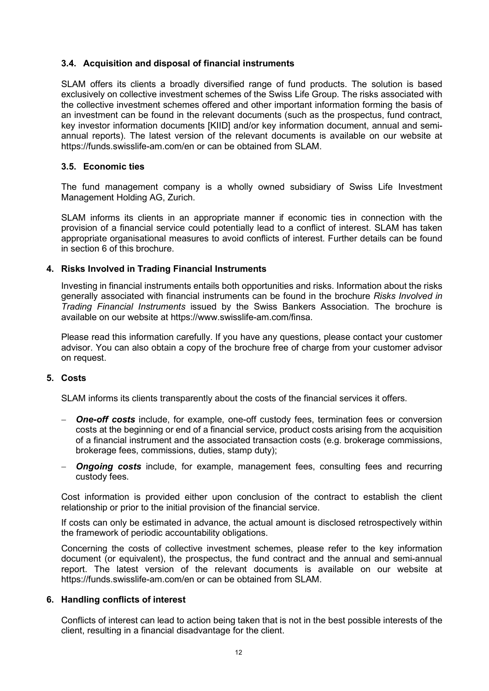# 3.4. Acquisition and disposal of financial instruments

SLAM offers its clients a broadly diversified range of fund products. The solution is based exclusively on collective investment schemes of the Swiss Life Group. The risks associated with the collective investment schemes offered and other important information forming the basis of an investment can be found in the relevant documents (such as the prospectus, fund contract, key investor information documents [KIID] and/or key information document, annual and semiannual reports). The latest version of the relevant documents is available on our website at https://funds.swisslife-am.com/en or can be obtained from SLAM.

#### 3.5. Economic ties

The fund management company is a wholly owned subsidiary of Swiss Life Investment Management Holding AG, Zurich.

SLAM informs its clients in an appropriate manner if economic ties in connection with the provision of a financial service could potentially lead to a conflict of interest. SLAM has taken appropriate organisational measures to avoid conflicts of interest. Further details can be found in section 6 of this brochure.

#### 4. Risks Involved in Trading Financial Instruments

Investing in financial instruments entails both opportunities and risks. Information about the risks generally associated with financial instruments can be found in the brochure Risks Involved in Trading Financial Instruments issued by the Swiss Bankers Association. The brochure is available on our website at https://www.swisslife-am.com/finsa.

Please read this information carefully. If you have any questions, please contact your customer advisor. You can also obtain a copy of the brochure free of charge from your customer advisor on request.

#### 5. Costs

SLAM informs its clients transparently about the costs of the financial services it offers.

- **One-off costs** include, for example, one-off custody fees, termination fees or conversion costs at the beginning or end of a financial service, product costs arising from the acquisition of a financial instrument and the associated transaction costs (e.g. brokerage commissions, brokerage fees, commissions, duties, stamp duty);
- **Ongoing costs** include, for example, management fees, consulting fees and recurring custody fees.

Cost information is provided either upon conclusion of the contract to establish the client relationship or prior to the initial provision of the financial service.

If costs can only be estimated in advance, the actual amount is disclosed retrospectively within the framework of periodic accountability obligations.

Concerning the costs of collective investment schemes, please refer to the key information document (or equivalent), the prospectus, the fund contract and the annual and semi-annual report. The latest version of the relevant documents is available on our website at https://funds.swisslife-am.com/en or can be obtained from SLAM.

#### 6. Handling conflicts of interest

Conflicts of interest can lead to action being taken that is not in the best possible interests of the client, resulting in a financial disadvantage for the client.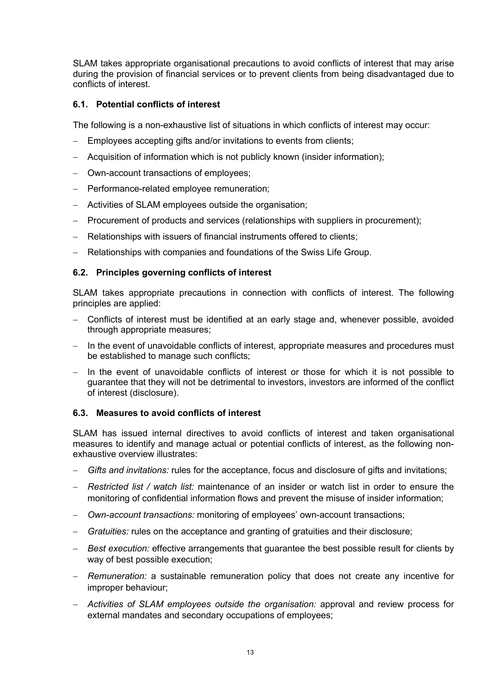SLAM takes appropriate organisational precautions to avoid conflicts of interest that may arise during the provision of financial services or to prevent clients from being disadvantaged due to conflicts of interest.

# 6.1. Potential conflicts of interest

The following is a non-exhaustive list of situations in which conflicts of interest may occur:

- Employees accepting gifts and/or invitations to events from clients:
- Acquisition of information which is not publicly known (insider information);
- Own-account transactions of employees;
- Performance-related employee remuneration;
- Activities of SLAM employees outside the organisation;
- Procurement of products and services (relationships with suppliers in procurement);
- Relationships with issuers of financial instruments offered to clients;
- Relationships with companies and foundations of the Swiss Life Group.

# 6.2. Principles governing conflicts of interest

SLAM takes appropriate precautions in connection with conflicts of interest. The following principles are applied:

- Conflicts of interest must be identified at an early stage and, whenever possible, avoided through appropriate measures;
- In the event of unavoidable conflicts of interest, appropriate measures and procedures must be established to manage such conflicts;
- $-$  In the event of unavoidable conflicts of interest or those for which it is not possible to guarantee that they will not be detrimental to investors, investors are informed of the conflict of interest (disclosure).

#### 6.3. Measures to avoid conflicts of interest

SLAM has issued internal directives to avoid conflicts of interest and taken organisational measures to identify and manage actual or potential conflicts of interest, as the following nonexhaustive overview illustrates:

- Gifts and invitations: rules for the acceptance, focus and disclosure of gifts and invitations;
- Restricted list / watch list: maintenance of an insider or watch list in order to ensure the monitoring of confidential information flows and prevent the misuse of insider information;
- Own-account transactions: monitoring of employees' own-account transactions;
- Gratuities: rules on the acceptance and granting of gratuities and their disclosure;
- Best execution: effective arrangements that guarantee the best possible result for clients by way of best possible execution;
- Remuneration: a sustainable remuneration policy that does not create any incentive for improper behaviour;
- Activities of SLAM employees outside the organisation: approval and review process for external mandates and secondary occupations of employees;